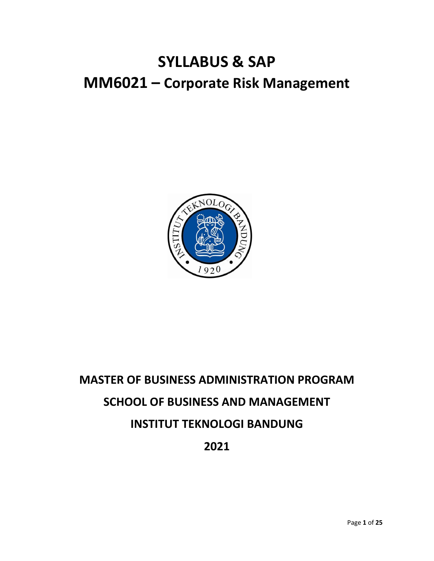## **SYLLABUS & SAP MM6021 – Corporate Risk Management**



# **MASTER OF BUSINESS ADMINISTRATION PROGRAM SCHOOL OF BUSINESS AND MANAGEMENT INSTITUT TEKNOLOGI BANDUNG 2021**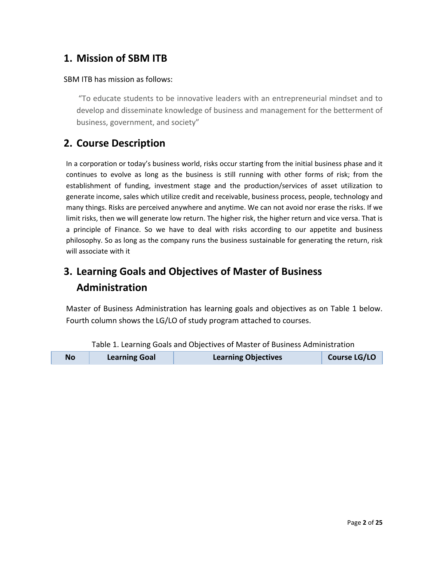#### **1. Mission of SBM ITB**

#### SBM ITB has mission as follows:

"To educate students to be innovative leaders with an entrepreneurial mindset and to develop and disseminate knowledge of business and management for the betterment of business, government, and society"

#### **2. Course Description**

In a corporation or today's business world, risks occur starting from the initial business phase and it continues to evolve as long as the business is still running with other forms of risk; from the establishment of funding, investment stage and the production/services of asset utilization to generate income, sales which utilize credit and receivable, business process, people, technology and many things. Risks are perceived anywhere and anytime. We can not avoid nor erase the risks. If we limit risks, then we will generate low return. The higher risk, the higher return and vice versa. That is a principle of Finance. So we have to deal with risks according to our appetite and business philosophy. So as long as the company runs the business sustainable for generating the return, risk will associate with it

### **3. Learning Goals and Objectives of Master of Business Administration**

Master of Business Administration has learning goals and objectives as on Table 1 below. Fourth column shows the LG/LO of study program attached to courses.

| <b>Learning Objectives</b><br><b>Learning Goal</b><br><b>No</b> | Course LG/LO |
|-----------------------------------------------------------------|--------------|
|-----------------------------------------------------------------|--------------|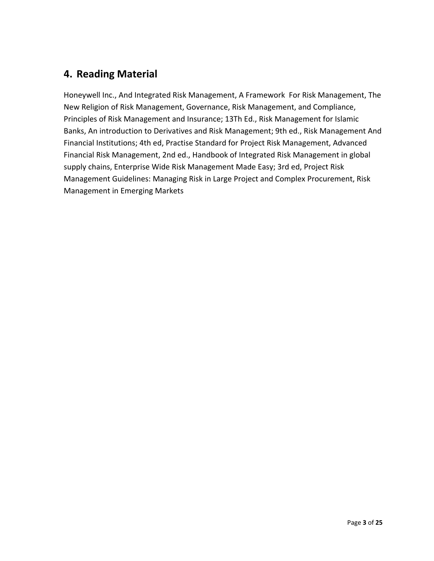#### **4. Reading Material**

Honeywell Inc., And Integrated Risk Management, A Framework For Risk Management, The New Religion of Risk Management, Governance, Risk Management, and Compliance, Principles of Risk Management and Insurance; 13Th Ed., Risk Management for Islamic Banks, An introduction to Derivatives and Risk Management; 9th ed., Risk Management And Financial Institutions; 4th ed, Practise Standard for Project Risk Management, Advanced Financial Risk Management, 2nd ed., Handbook of Integrated Risk Management in global supply chains, Enterprise Wide Risk Management Made Easy; 3rd ed, Project Risk Management Guidelines: Managing Risk in Large Project and Complex Procurement, Risk Management in Emerging Markets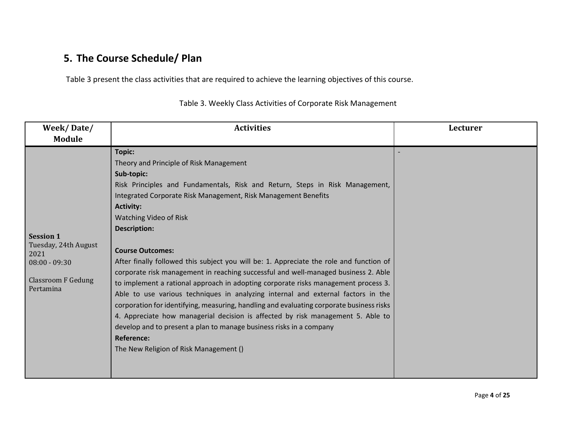#### **5. The Course Schedule/ Plan**

Table 3 present the class activities that are required to achieve the learning objectives of this course.

| Week/Date/                                                                                                    | <b>Activities</b>                                                                                                                                                                                                                                                                                                                                                                                                                                                                                                                                                                                                                                                                                                                                                                                                                                                                                                                                                                                        | Lecturer |
|---------------------------------------------------------------------------------------------------------------|----------------------------------------------------------------------------------------------------------------------------------------------------------------------------------------------------------------------------------------------------------------------------------------------------------------------------------------------------------------------------------------------------------------------------------------------------------------------------------------------------------------------------------------------------------------------------------------------------------------------------------------------------------------------------------------------------------------------------------------------------------------------------------------------------------------------------------------------------------------------------------------------------------------------------------------------------------------------------------------------------------|----------|
| Module                                                                                                        |                                                                                                                                                                                                                                                                                                                                                                                                                                                                                                                                                                                                                                                                                                                                                                                                                                                                                                                                                                                                          |          |
| <b>Session 1</b><br>Tuesday, 24th August<br>2021<br>$08:00 - 09:30$<br><b>Classroom F Gedung</b><br>Pertamina | <b>Topic:</b><br>Theory and Principle of Risk Management<br>Sub-topic:<br>Risk Principles and Fundamentals, Risk and Return, Steps in Risk Management,<br>Integrated Corporate Risk Management, Risk Management Benefits<br><b>Activity:</b><br>Watching Video of Risk<br><b>Description:</b><br><b>Course Outcomes:</b><br>After finally followed this subject you will be: 1. Appreciate the role and function of<br>corporate risk management in reaching successful and well-managed business 2. Able<br>to implement a rational approach in adopting corporate risks management process 3.<br>Able to use various techniques in analyzing internal and external factors in the<br>corporation for identifying, measuring, handling and evaluating corporate business risks<br>4. Appreciate how managerial decision is affected by risk management 5. Able to<br>develop and to present a plan to manage business risks in a company<br><b>Reference:</b><br>The New Religion of Risk Management () |          |
|                                                                                                               |                                                                                                                                                                                                                                                                                                                                                                                                                                                                                                                                                                                                                                                                                                                                                                                                                                                                                                                                                                                                          |          |

Table 3. Weekly Class Activities of Corporate Risk Management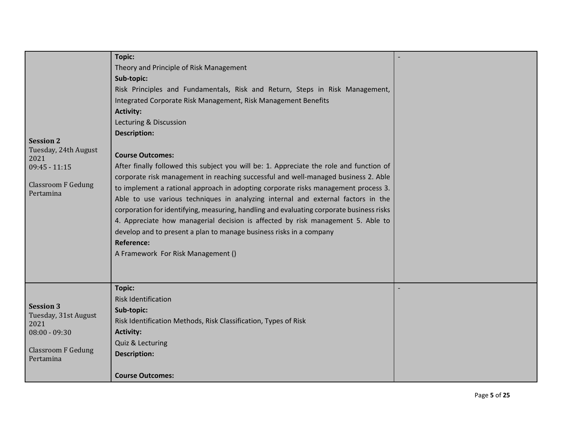|                                          | <b>Topic:</b>                                                                            |  |
|------------------------------------------|------------------------------------------------------------------------------------------|--|
|                                          | Theory and Principle of Risk Management                                                  |  |
|                                          | Sub-topic:                                                                               |  |
|                                          | Risk Principles and Fundamentals, Risk and Return, Steps in Risk Management,             |  |
|                                          | Integrated Corporate Risk Management, Risk Management Benefits                           |  |
|                                          | <b>Activity:</b>                                                                         |  |
|                                          | Lecturing & Discussion                                                                   |  |
|                                          | <b>Description:</b>                                                                      |  |
| <b>Session 2</b>                         |                                                                                          |  |
| Tuesday, 24th August<br>2021             | <b>Course Outcomes:</b>                                                                  |  |
| $09:45 - 11:15$                          | After finally followed this subject you will be: 1. Appreciate the role and function of  |  |
|                                          | corporate risk management in reaching successful and well-managed business 2. Able       |  |
| <b>Classroom F Gedung</b><br>Pertamina   | to implement a rational approach in adopting corporate risks management process 3.       |  |
|                                          | Able to use various techniques in analyzing internal and external factors in the         |  |
|                                          | corporation for identifying, measuring, handling and evaluating corporate business risks |  |
|                                          | 4. Appreciate how managerial decision is affected by risk management 5. Able to          |  |
|                                          | develop and to present a plan to manage business risks in a company                      |  |
|                                          | <b>Reference:</b>                                                                        |  |
|                                          | A Framework For Risk Management ()                                                       |  |
|                                          |                                                                                          |  |
|                                          |                                                                                          |  |
|                                          | <b>Topic:</b>                                                                            |  |
|                                          | <b>Risk Identification</b>                                                               |  |
| <b>Session 3</b><br>Tuesday, 31st August | Sub-topic:                                                                               |  |
| 2021                                     | Risk Identification Methods, Risk Classification, Types of Risk                          |  |
| $08:00 - 09:30$                          | <b>Activity:</b>                                                                         |  |
|                                          | Quiz & Lecturing                                                                         |  |
| <b>Classroom F Gedung</b><br>Pertamina   | <b>Description:</b>                                                                      |  |
|                                          |                                                                                          |  |
|                                          | <b>Course Outcomes:</b>                                                                  |  |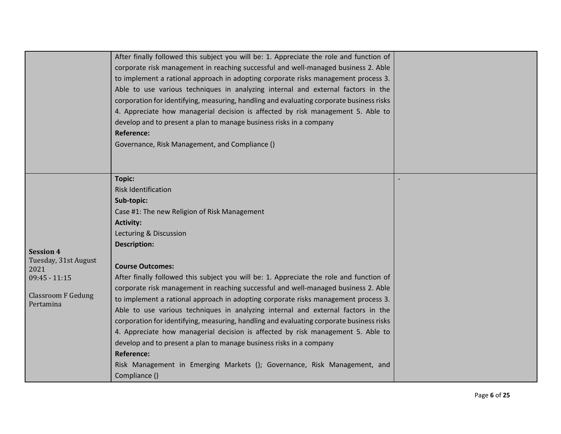|                                                                                                               | After finally followed this subject you will be: 1. Appreciate the role and function of<br>corporate risk management in reaching successful and well-managed business 2. Able<br>to implement a rational approach in adopting corporate risks management process 3.<br>Able to use various techniques in analyzing internal and external factors in the<br>corporation for identifying, measuring, handling and evaluating corporate business risks<br>4. Appreciate how managerial decision is affected by risk management 5. Able to<br>develop and to present a plan to manage business risks in a company<br><b>Reference:</b><br>Governance, Risk Management, and Compliance ()                                                                                                                                                                                                                                                  |  |
|---------------------------------------------------------------------------------------------------------------|---------------------------------------------------------------------------------------------------------------------------------------------------------------------------------------------------------------------------------------------------------------------------------------------------------------------------------------------------------------------------------------------------------------------------------------------------------------------------------------------------------------------------------------------------------------------------------------------------------------------------------------------------------------------------------------------------------------------------------------------------------------------------------------------------------------------------------------------------------------------------------------------------------------------------------------|--|
| <b>Session 4</b><br>Tuesday, 31st August<br>2021<br>$09:45 - 11:15$<br><b>Classroom F Gedung</b><br>Pertamina | Topic:<br><b>Risk Identification</b><br>Sub-topic:<br>Case #1: The new Religion of Risk Management<br><b>Activity:</b><br>Lecturing & Discussion<br><b>Description:</b><br><b>Course Outcomes:</b><br>After finally followed this subject you will be: 1. Appreciate the role and function of<br>corporate risk management in reaching successful and well-managed business 2. Able<br>to implement a rational approach in adopting corporate risks management process 3.<br>Able to use various techniques in analyzing internal and external factors in the<br>corporation for identifying, measuring, handling and evaluating corporate business risks<br>4. Appreciate how managerial decision is affected by risk management 5. Able to<br>develop and to present a plan to manage business risks in a company<br><b>Reference:</b><br>Risk Management in Emerging Markets (); Governance, Risk Management, and<br>Compliance () |  |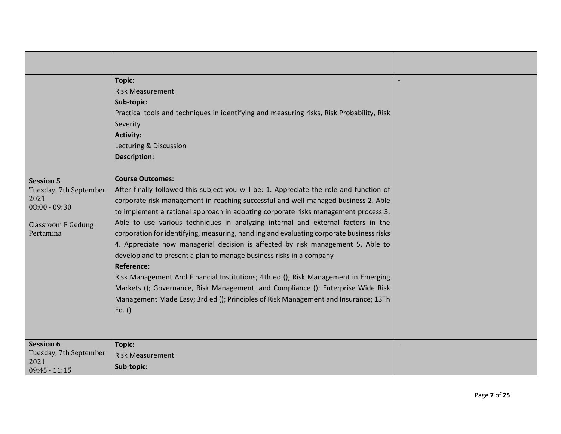| <b>Session 5</b><br>Tuesday, 7th September<br>2021<br>$08:00 - 09:30$<br><b>Classroom F Gedung</b><br>Pertamina | Topic:<br><b>Risk Measurement</b><br>Sub-topic:<br>Practical tools and techniques in identifying and measuring risks, Risk Probability, Risk<br>Severity<br><b>Activity:</b><br>Lecturing & Discussion<br><b>Description:</b><br><b>Course Outcomes:</b><br>After finally followed this subject you will be: 1. Appreciate the role and function of<br>corporate risk management in reaching successful and well-managed business 2. Able<br>to implement a rational approach in adopting corporate risks management process 3.<br>Able to use various techniques in analyzing internal and external factors in the<br>corporation for identifying, measuring, handling and evaluating corporate business risks<br>4. Appreciate how managerial decision is affected by risk management 5. Able to<br>develop and to present a plan to manage business risks in a company<br><b>Reference:</b><br>Risk Management And Financial Institutions; 4th ed (); Risk Management in Emerging<br>Markets (); Governance, Risk Management, and Compliance (); Enterprise Wide Risk<br>Management Made Easy; 3rd ed (); Principles of Risk Management and Insurance; 13Th<br>Ed.() |  |
|-----------------------------------------------------------------------------------------------------------------|-------------------------------------------------------------------------------------------------------------------------------------------------------------------------------------------------------------------------------------------------------------------------------------------------------------------------------------------------------------------------------------------------------------------------------------------------------------------------------------------------------------------------------------------------------------------------------------------------------------------------------------------------------------------------------------------------------------------------------------------------------------------------------------------------------------------------------------------------------------------------------------------------------------------------------------------------------------------------------------------------------------------------------------------------------------------------------------------------------------------------------------------------------------------------|--|
| <b>Session 6</b><br>Tuesday, 7th September<br>2021<br>$09:45 - 11:15$                                           | <b>Topic:</b><br><b>Risk Measurement</b><br>Sub-topic:                                                                                                                                                                                                                                                                                                                                                                                                                                                                                                                                                                                                                                                                                                                                                                                                                                                                                                                                                                                                                                                                                                                  |  |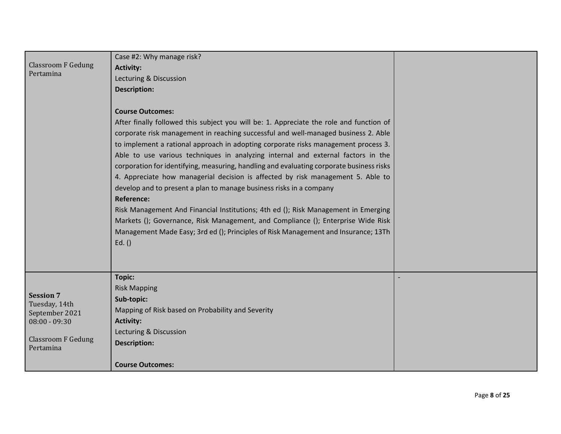|                                   | Case #2: Why manage risk?                                                                |  |
|-----------------------------------|------------------------------------------------------------------------------------------|--|
| <b>Classroom F Gedung</b>         | <b>Activity:</b>                                                                         |  |
| Pertamina                         | Lecturing & Discussion                                                                   |  |
|                                   | <b>Description:</b>                                                                      |  |
|                                   |                                                                                          |  |
|                                   | <b>Course Outcomes:</b>                                                                  |  |
|                                   | After finally followed this subject you will be: 1. Appreciate the role and function of  |  |
|                                   | corporate risk management in reaching successful and well-managed business 2. Able       |  |
|                                   | to implement a rational approach in adopting corporate risks management process 3.       |  |
|                                   | Able to use various techniques in analyzing internal and external factors in the         |  |
|                                   | corporation for identifying, measuring, handling and evaluating corporate business risks |  |
|                                   | 4. Appreciate how managerial decision is affected by risk management 5. Able to          |  |
|                                   | develop and to present a plan to manage business risks in a company                      |  |
|                                   | <b>Reference:</b>                                                                        |  |
|                                   | Risk Management And Financial Institutions; 4th ed (); Risk Management in Emerging       |  |
|                                   | Markets (); Governance, Risk Management, and Compliance (); Enterprise Wide Risk         |  |
|                                   | Management Made Easy; 3rd ed (); Principles of Risk Management and Insurance; 13Th       |  |
|                                   | Ed.()                                                                                    |  |
|                                   |                                                                                          |  |
|                                   |                                                                                          |  |
|                                   | <b>Topic:</b>                                                                            |  |
|                                   | <b>Risk Mapping</b>                                                                      |  |
| <b>Session 7</b><br>Tuesday, 14th | Sub-topic:                                                                               |  |
| September 2021                    | Mapping of Risk based on Probability and Severity                                        |  |
| $08:00 - 09:30$                   | <b>Activity:</b>                                                                         |  |
| <b>Classroom F Gedung</b>         | Lecturing & Discussion                                                                   |  |
| Pertamina                         | <b>Description:</b>                                                                      |  |
|                                   |                                                                                          |  |
|                                   | <b>Course Outcomes:</b>                                                                  |  |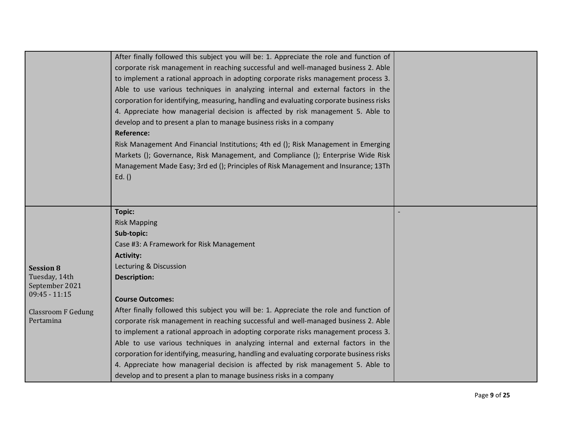|                           | After finally followed this subject you will be: 1. Appreciate the role and function of  |  |
|---------------------------|------------------------------------------------------------------------------------------|--|
|                           | corporate risk management in reaching successful and well-managed business 2. Able       |  |
|                           | to implement a rational approach in adopting corporate risks management process 3.       |  |
|                           | Able to use various techniques in analyzing internal and external factors in the         |  |
|                           | corporation for identifying, measuring, handling and evaluating corporate business risks |  |
|                           | 4. Appreciate how managerial decision is affected by risk management 5. Able to          |  |
|                           | develop and to present a plan to manage business risks in a company                      |  |
|                           | <b>Reference:</b>                                                                        |  |
|                           | Risk Management And Financial Institutions; 4th ed (); Risk Management in Emerging       |  |
|                           | Markets (); Governance, Risk Management, and Compliance (); Enterprise Wide Risk         |  |
|                           | Management Made Easy; 3rd ed (); Principles of Risk Management and Insurance; 13Th       |  |
|                           | Ed. $()$                                                                                 |  |
|                           |                                                                                          |  |
|                           |                                                                                          |  |
|                           | Topic:                                                                                   |  |
|                           | <b>Risk Mapping</b>                                                                      |  |
|                           | Sub-topic:                                                                               |  |
|                           | Case #3: A Framework for Risk Management                                                 |  |
|                           | <b>Activity:</b>                                                                         |  |
| <b>Session 8</b>          | Lecturing & Discussion                                                                   |  |
| Tuesday, 14th             | <b>Description:</b>                                                                      |  |
| September 2021            |                                                                                          |  |
| $09:45 - 11:15$           | <b>Course Outcomes:</b>                                                                  |  |
| <b>Classroom F Gedung</b> | After finally followed this subject you will be: 1. Appreciate the role and function of  |  |
| Pertamina                 | corporate risk management in reaching successful and well-managed business 2. Able       |  |
|                           | to implement a rational approach in adopting corporate risks management process 3.       |  |
|                           | Able to use various techniques in analyzing internal and external factors in the         |  |
|                           | corporation for identifying, measuring, handling and evaluating corporate business risks |  |
|                           | 4. Appreciate how managerial decision is affected by risk management 5. Able to          |  |
|                           | develop and to present a plan to manage business risks in a company                      |  |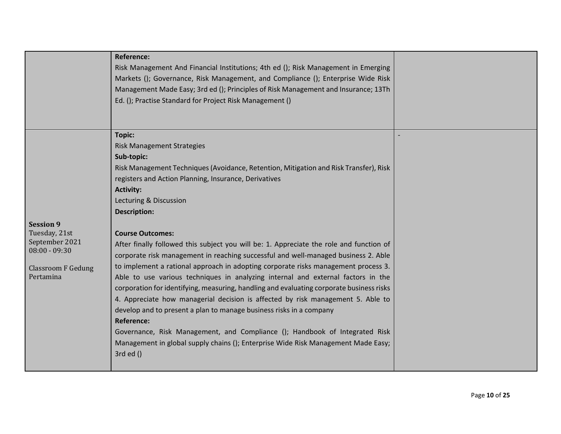|                                                                                                                  | <b>Reference:</b><br>Risk Management And Financial Institutions; 4th ed (); Risk Management in Emerging<br>Markets (); Governance, Risk Management, and Compliance (); Enterprise Wide Risk<br>Management Made Easy; 3rd ed (); Principles of Risk Management and Insurance; 13Th<br>Ed. (); Practise Standard for Project Risk Management ()                                                                                                                                                                                                                                                                                                                                                                                                                                                                                                                                                                                                                                                                                                                                                                                                 |  |
|------------------------------------------------------------------------------------------------------------------|-----------------------------------------------------------------------------------------------------------------------------------------------------------------------------------------------------------------------------------------------------------------------------------------------------------------------------------------------------------------------------------------------------------------------------------------------------------------------------------------------------------------------------------------------------------------------------------------------------------------------------------------------------------------------------------------------------------------------------------------------------------------------------------------------------------------------------------------------------------------------------------------------------------------------------------------------------------------------------------------------------------------------------------------------------------------------------------------------------------------------------------------------|--|
| <b>Session 9</b><br>Tuesday, 21st<br>September 2021<br>$08:00 - 09:30$<br><b>Classroom F Gedung</b><br>Pertamina | <b>Topic:</b><br><b>Risk Management Strategies</b><br>Sub-topic:<br>Risk Management Techniques (Avoidance, Retention, Mitigation and Risk Transfer), Risk<br>registers and Action Planning, Insurance, Derivatives<br><b>Activity:</b><br>Lecturing & Discussion<br><b>Description:</b><br><b>Course Outcomes:</b><br>After finally followed this subject you will be: 1. Appreciate the role and function of<br>corporate risk management in reaching successful and well-managed business 2. Able<br>to implement a rational approach in adopting corporate risks management process 3.<br>Able to use various techniques in analyzing internal and external factors in the<br>corporation for identifying, measuring, handling and evaluating corporate business risks<br>4. Appreciate how managerial decision is affected by risk management 5. Able to<br>develop and to present a plan to manage business risks in a company<br><b>Reference:</b><br>Governance, Risk Management, and Compliance (); Handbook of Integrated Risk<br>Management in global supply chains (); Enterprise Wide Risk Management Made Easy;<br>$3rd$ ed $()$ |  |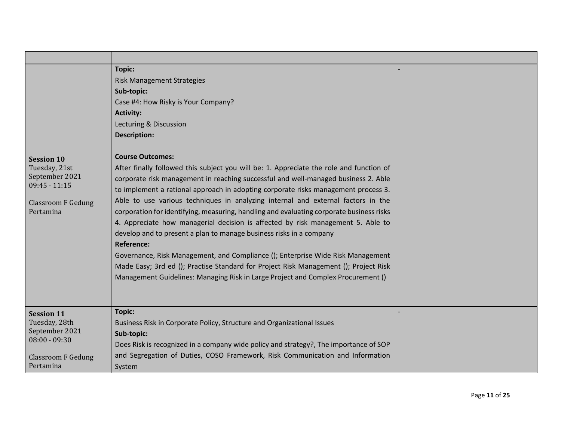| <b>Session 10</b><br>Tuesday, 21st<br>September 2021<br>$09:45 - 11:15$<br><b>Classroom F Gedung</b><br>Pertamina | <b>Topic:</b><br><b>Risk Management Strategies</b><br>Sub-topic:<br>Case #4: How Risky is Your Company?<br><b>Activity:</b><br>Lecturing & Discussion<br><b>Description:</b><br><b>Course Outcomes:</b><br>After finally followed this subject you will be: 1. Appreciate the role and function of<br>corporate risk management in reaching successful and well-managed business 2. Able<br>to implement a rational approach in adopting corporate risks management process 3.<br>Able to use various techniques in analyzing internal and external factors in the<br>corporation for identifying, measuring, handling and evaluating corporate business risks<br>4. Appreciate how managerial decision is affected by risk management 5. Able to<br>develop and to present a plan to manage business risks in a company<br><b>Reference:</b><br>Governance, Risk Management, and Compliance (); Enterprise Wide Risk Management<br>Made Easy; 3rd ed (); Practise Standard for Project Risk Management (); Project Risk<br>Management Guidelines: Managing Risk in Large Project and Complex Procurement () |  |
|-------------------------------------------------------------------------------------------------------------------|--------------------------------------------------------------------------------------------------------------------------------------------------------------------------------------------------------------------------------------------------------------------------------------------------------------------------------------------------------------------------------------------------------------------------------------------------------------------------------------------------------------------------------------------------------------------------------------------------------------------------------------------------------------------------------------------------------------------------------------------------------------------------------------------------------------------------------------------------------------------------------------------------------------------------------------------------------------------------------------------------------------------------------------------------------------------------------------------------------------|--|
| <b>Session 11</b><br>Tuesday, 28th<br>September 2021<br>$08:00 - 09:30$<br><b>Classroom F Gedung</b><br>Pertamina | <b>Topic:</b><br>Business Risk in Corporate Policy, Structure and Organizational Issues<br>Sub-topic:<br>Does Risk is recognized in a company wide policy and strategy?, The importance of SOP<br>and Segregation of Duties, COSO Framework, Risk Communication and Information<br>System                                                                                                                                                                                                                                                                                                                                                                                                                                                                                                                                                                                                                                                                                                                                                                                                                    |  |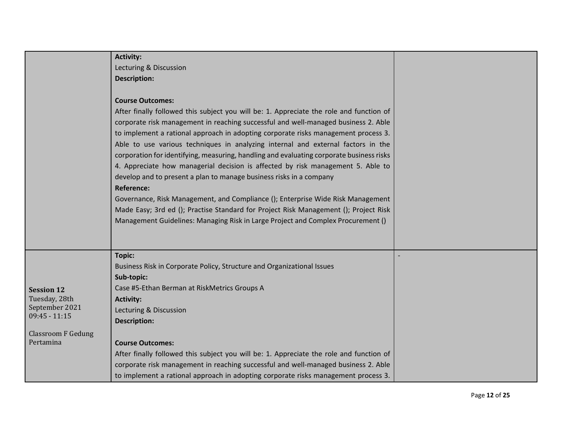|                                                                                                                   | <b>Activity:</b><br>Lecturing & Discussion<br><b>Description:</b><br><b>Course Outcomes:</b><br>After finally followed this subject you will be: 1. Appreciate the role and function of<br>corporate risk management in reaching successful and well-managed business 2. Able<br>to implement a rational approach in adopting corporate risks management process 3.<br>Able to use various techniques in analyzing internal and external factors in the<br>corporation for identifying, measuring, handling and evaluating corporate business risks<br>4. Appreciate how managerial decision is affected by risk management 5. Able to<br>develop and to present a plan to manage business risks in a company<br><b>Reference:</b><br>Governance, Risk Management, and Compliance (); Enterprise Wide Risk Management<br>Made Easy; 3rd ed (); Practise Standard for Project Risk Management (); Project Risk<br>Management Guidelines: Managing Risk in Large Project and Complex Procurement () |  |
|-------------------------------------------------------------------------------------------------------------------|---------------------------------------------------------------------------------------------------------------------------------------------------------------------------------------------------------------------------------------------------------------------------------------------------------------------------------------------------------------------------------------------------------------------------------------------------------------------------------------------------------------------------------------------------------------------------------------------------------------------------------------------------------------------------------------------------------------------------------------------------------------------------------------------------------------------------------------------------------------------------------------------------------------------------------------------------------------------------------------------------|--|
| <b>Session 12</b><br>Tuesday, 28th<br>September 2021<br>$09:45 - 11:15$<br><b>Classroom F Gedung</b><br>Pertamina | <b>Topic:</b><br>Business Risk in Corporate Policy, Structure and Organizational Issues<br>Sub-topic:<br>Case #5-Ethan Berman at RiskMetrics Groups A<br><b>Activity:</b><br>Lecturing & Discussion<br><b>Description:</b><br><b>Course Outcomes:</b><br>After finally followed this subject you will be: 1. Appreciate the role and function of<br>corporate risk management in reaching successful and well-managed business 2. Able<br>to implement a rational approach in adopting corporate risks management process 3.                                                                                                                                                                                                                                                                                                                                                                                                                                                                      |  |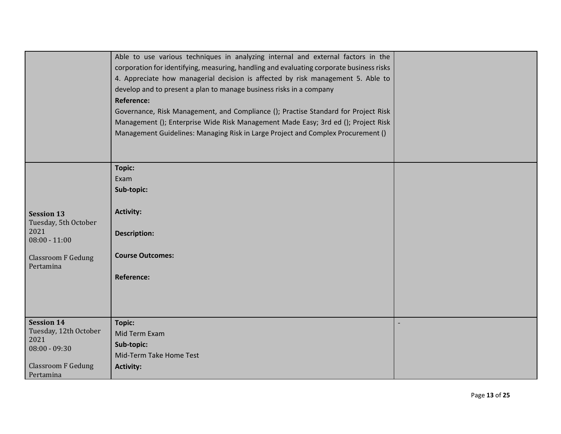|                                                                                                                 | Able to use various techniques in analyzing internal and external factors in the<br>corporation for identifying, measuring, handling and evaluating corporate business risks<br>4. Appreciate how managerial decision is affected by risk management 5. Able to<br>develop and to present a plan to manage business risks in a company<br><b>Reference:</b><br>Governance, Risk Management, and Compliance (); Practise Standard for Project Risk<br>Management (); Enterprise Wide Risk Management Made Easy; 3rd ed (); Project Risk<br>Management Guidelines: Managing Risk in Large Project and Complex Procurement () |  |
|-----------------------------------------------------------------------------------------------------------------|----------------------------------------------------------------------------------------------------------------------------------------------------------------------------------------------------------------------------------------------------------------------------------------------------------------------------------------------------------------------------------------------------------------------------------------------------------------------------------------------------------------------------------------------------------------------------------------------------------------------------|--|
|                                                                                                                 |                                                                                                                                                                                                                                                                                                                                                                                                                                                                                                                                                                                                                            |  |
| <b>Session 13</b><br>Tuesday, 5th October<br>2021<br>$08:00 - 11:00$<br><b>Classroom F Gedung</b><br>Pertamina  | Topic:<br>Exam<br>Sub-topic:<br><b>Activity:</b><br><b>Description:</b><br><b>Course Outcomes:</b><br><b>Reference:</b>                                                                                                                                                                                                                                                                                                                                                                                                                                                                                                    |  |
| <b>Session 14</b><br>Tuesday, 12th October<br>2021<br>$08:00 - 09:30$<br><b>Classroom F Gedung</b><br>Pertamina | <b>Topic:</b><br>Mid Term Exam<br>Sub-topic:<br>Mid-Term Take Home Test<br><b>Activity:</b>                                                                                                                                                                                                                                                                                                                                                                                                                                                                                                                                |  |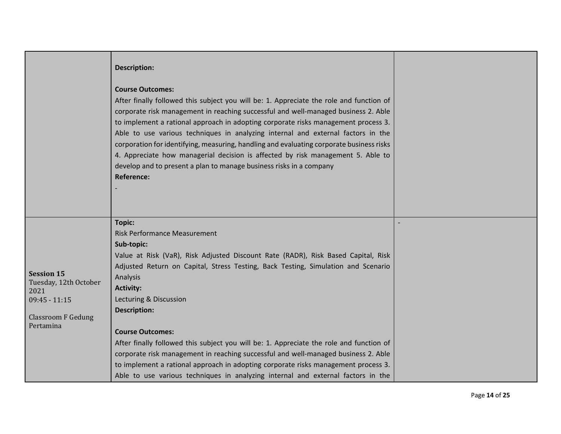|                                                                                                                 | <b>Description:</b><br><b>Course Outcomes:</b><br>After finally followed this subject you will be: 1. Appreciate the role and function of<br>corporate risk management in reaching successful and well-managed business 2. Able<br>to implement a rational approach in adopting corporate risks management process 3.<br>Able to use various techniques in analyzing internal and external factors in the<br>corporation for identifying, measuring, handling and evaluating corporate business risks<br>4. Appreciate how managerial decision is affected by risk management 5. Able to<br>develop and to present a plan to manage business risks in a company<br><b>Reference:</b>                                |  |
|-----------------------------------------------------------------------------------------------------------------|---------------------------------------------------------------------------------------------------------------------------------------------------------------------------------------------------------------------------------------------------------------------------------------------------------------------------------------------------------------------------------------------------------------------------------------------------------------------------------------------------------------------------------------------------------------------------------------------------------------------------------------------------------------------------------------------------------------------|--|
| <b>Session 15</b><br>Tuesday, 12th October<br>2021<br>$09:45 - 11:15$<br><b>Classroom F Gedung</b><br>Pertamina | <b>Topic:</b><br><b>Risk Performance Measurement</b><br>Sub-topic:<br>Value at Risk (VaR), Risk Adjusted Discount Rate (RADR), Risk Based Capital, Risk<br>Adjusted Return on Capital, Stress Testing, Back Testing, Simulation and Scenario<br>Analysis<br><b>Activity:</b><br>Lecturing & Discussion<br><b>Description:</b><br><b>Course Outcomes:</b><br>After finally followed this subject you will be: 1. Appreciate the role and function of<br>corporate risk management in reaching successful and well-managed business 2. Able<br>to implement a rational approach in adopting corporate risks management process 3.<br>Able to use various techniques in analyzing internal and external factors in the |  |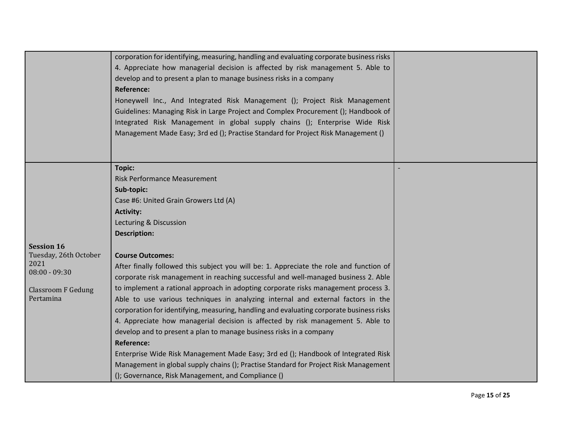|                           | corporation for identifying, measuring, handling and evaluating corporate business risks<br>4. Appreciate how managerial decision is affected by risk management 5. Able to<br>develop and to present a plan to manage business risks in a company<br><b>Reference:</b><br>Honeywell Inc., And Integrated Risk Management (); Project Risk Management<br>Guidelines: Managing Risk in Large Project and Complex Procurement (); Handbook of<br>Integrated Risk Management in global supply chains (); Enterprise Wide Risk<br>Management Made Easy; 3rd ed (); Practise Standard for Project Risk Management () |  |
|---------------------------|-----------------------------------------------------------------------------------------------------------------------------------------------------------------------------------------------------------------------------------------------------------------------------------------------------------------------------------------------------------------------------------------------------------------------------------------------------------------------------------------------------------------------------------------------------------------------------------------------------------------|--|
|                           | <b>Topic:</b>                                                                                                                                                                                                                                                                                                                                                                                                                                                                                                                                                                                                   |  |
|                           | <b>Risk Performance Measurement</b>                                                                                                                                                                                                                                                                                                                                                                                                                                                                                                                                                                             |  |
|                           | Sub-topic:                                                                                                                                                                                                                                                                                                                                                                                                                                                                                                                                                                                                      |  |
|                           | Case #6: United Grain Growers Ltd (A)                                                                                                                                                                                                                                                                                                                                                                                                                                                                                                                                                                           |  |
|                           | <b>Activity:</b>                                                                                                                                                                                                                                                                                                                                                                                                                                                                                                                                                                                                |  |
|                           | Lecturing & Discussion                                                                                                                                                                                                                                                                                                                                                                                                                                                                                                                                                                                          |  |
|                           | <b>Description:</b>                                                                                                                                                                                                                                                                                                                                                                                                                                                                                                                                                                                             |  |
| <b>Session 16</b>         |                                                                                                                                                                                                                                                                                                                                                                                                                                                                                                                                                                                                                 |  |
| Tuesday, 26th October     | <b>Course Outcomes:</b>                                                                                                                                                                                                                                                                                                                                                                                                                                                                                                                                                                                         |  |
| 2021<br>$08:00 - 09:30$   | After finally followed this subject you will be: 1. Appreciate the role and function of                                                                                                                                                                                                                                                                                                                                                                                                                                                                                                                         |  |
|                           | corporate risk management in reaching successful and well-managed business 2. Able                                                                                                                                                                                                                                                                                                                                                                                                                                                                                                                              |  |
| <b>Classroom F Gedung</b> | to implement a rational approach in adopting corporate risks management process 3.                                                                                                                                                                                                                                                                                                                                                                                                                                                                                                                              |  |
| Pertamina                 | Able to use various techniques in analyzing internal and external factors in the                                                                                                                                                                                                                                                                                                                                                                                                                                                                                                                                |  |
|                           | corporation for identifying, measuring, handling and evaluating corporate business risks                                                                                                                                                                                                                                                                                                                                                                                                                                                                                                                        |  |
|                           | 4. Appreciate how managerial decision is affected by risk management 5. Able to                                                                                                                                                                                                                                                                                                                                                                                                                                                                                                                                 |  |
|                           | develop and to present a plan to manage business risks in a company                                                                                                                                                                                                                                                                                                                                                                                                                                                                                                                                             |  |
|                           | <b>Reference:</b>                                                                                                                                                                                                                                                                                                                                                                                                                                                                                                                                                                                               |  |
|                           | Enterprise Wide Risk Management Made Easy; 3rd ed (); Handbook of Integrated Risk                                                                                                                                                                                                                                                                                                                                                                                                                                                                                                                               |  |
|                           | Management in global supply chains (); Practise Standard for Project Risk Management                                                                                                                                                                                                                                                                                                                                                                                                                                                                                                                            |  |
|                           | (); Governance, Risk Management, and Compliance ()                                                                                                                                                                                                                                                                                                                                                                                                                                                                                                                                                              |  |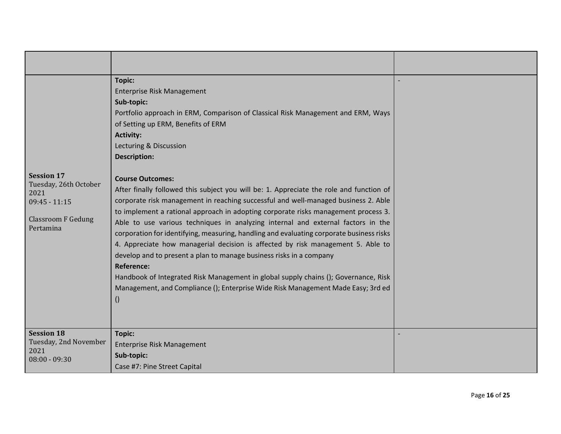| <b>Session 17</b><br>Tuesday, 26th October<br>2021<br>$09:45 - 11:15$<br><b>Classroom F Gedung</b><br>Pertamina | <b>Topic:</b><br><b>Enterprise Risk Management</b><br>Sub-topic:<br>Portfolio approach in ERM, Comparison of Classical Risk Management and ERM, Ways<br>of Setting up ERM, Benefits of ERM<br><b>Activity:</b><br>Lecturing & Discussion<br><b>Description:</b><br><b>Course Outcomes:</b><br>After finally followed this subject you will be: 1. Appreciate the role and function of<br>corporate risk management in reaching successful and well-managed business 2. Able<br>to implement a rational approach in adopting corporate risks management process 3.<br>Able to use various techniques in analyzing internal and external factors in the<br>corporation for identifying, measuring, handling and evaluating corporate business risks<br>4. Appreciate how managerial decision is affected by risk management 5. Able to<br>develop and to present a plan to manage business risks in a company<br><b>Reference:</b><br>Handbook of Integrated Risk Management in global supply chains (); Governance, Risk<br>Management, and Compliance (); Enterprise Wide Risk Management Made Easy; 3rd ed<br>$\left( \right)$ |  |
|-----------------------------------------------------------------------------------------------------------------|---------------------------------------------------------------------------------------------------------------------------------------------------------------------------------------------------------------------------------------------------------------------------------------------------------------------------------------------------------------------------------------------------------------------------------------------------------------------------------------------------------------------------------------------------------------------------------------------------------------------------------------------------------------------------------------------------------------------------------------------------------------------------------------------------------------------------------------------------------------------------------------------------------------------------------------------------------------------------------------------------------------------------------------------------------------------------------------------------------------------------------|--|
| <b>Session 18</b><br>Tuesday, 2nd November<br>2021<br>$08:00 - 09:30$                                           | <b>Topic:</b><br><b>Enterprise Risk Management</b><br>Sub-topic:<br>Case #7: Pine Street Capital                                                                                                                                                                                                                                                                                                                                                                                                                                                                                                                                                                                                                                                                                                                                                                                                                                                                                                                                                                                                                                |  |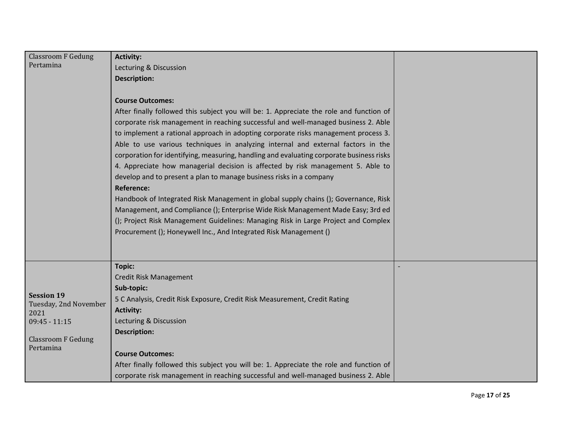| <b>Classroom F Gedung</b> | <b>Activity:</b>                                                                         |  |
|---------------------------|------------------------------------------------------------------------------------------|--|
| Pertamina                 | Lecturing & Discussion                                                                   |  |
|                           | <b>Description:</b>                                                                      |  |
|                           |                                                                                          |  |
|                           | <b>Course Outcomes:</b>                                                                  |  |
|                           | After finally followed this subject you will be: 1. Appreciate the role and function of  |  |
|                           | corporate risk management in reaching successful and well-managed business 2. Able       |  |
|                           | to implement a rational approach in adopting corporate risks management process 3.       |  |
|                           | Able to use various techniques in analyzing internal and external factors in the         |  |
|                           | corporation for identifying, measuring, handling and evaluating corporate business risks |  |
|                           | 4. Appreciate how managerial decision is affected by risk management 5. Able to          |  |
|                           | develop and to present a plan to manage business risks in a company                      |  |
|                           | <b>Reference:</b>                                                                        |  |
|                           | Handbook of Integrated Risk Management in global supply chains (); Governance, Risk      |  |
|                           | Management, and Compliance (); Enterprise Wide Risk Management Made Easy; 3rd ed         |  |
|                           | (); Project Risk Management Guidelines: Managing Risk in Large Project and Complex       |  |
|                           | Procurement (); Honeywell Inc., And Integrated Risk Management ()                        |  |
|                           |                                                                                          |  |
|                           |                                                                                          |  |
|                           | <b>Topic:</b>                                                                            |  |
|                           | Credit Risk Management                                                                   |  |
| <b>Session 19</b>         | Sub-topic:                                                                               |  |
| Tuesday, 2nd November     | 5 C Analysis, Credit Risk Exposure, Credit Risk Measurement, Credit Rating               |  |
| 2021                      | <b>Activity:</b>                                                                         |  |
| $09:45 - 11:15$           | Lecturing & Discussion                                                                   |  |
| <b>Classroom F Gedung</b> | <b>Description:</b>                                                                      |  |
| Pertamina                 |                                                                                          |  |
|                           | <b>Course Outcomes:</b>                                                                  |  |
|                           | After finally followed this subject you will be: 1. Appreciate the role and function of  |  |
|                           | corporate risk management in reaching successful and well-managed business 2. Able       |  |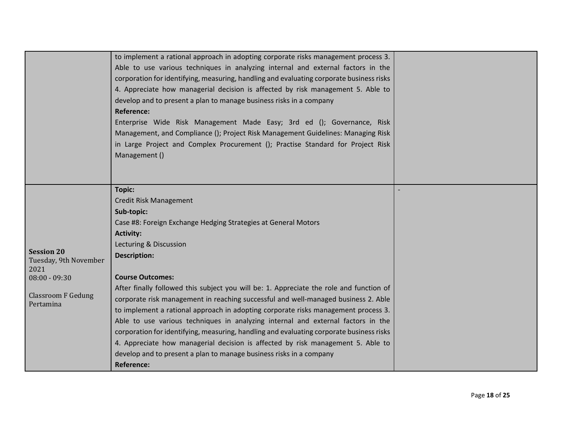|                                                                                                                 | to implement a rational approach in adopting corporate risks management process 3.<br>Able to use various techniques in analyzing internal and external factors in the<br>corporation for identifying, measuring, handling and evaluating corporate business risks<br>4. Appreciate how managerial decision is affected by risk management 5. Able to<br>develop and to present a plan to manage business risks in a company<br><b>Reference:</b><br>Enterprise Wide Risk Management Made Easy; 3rd ed (); Governance, Risk<br>Management, and Compliance (); Project Risk Management Guidelines: Managing Risk<br>in Large Project and Complex Procurement (); Practise Standard for Project Risk<br>Management ()                                                                                                                                    |  |
|-----------------------------------------------------------------------------------------------------------------|--------------------------------------------------------------------------------------------------------------------------------------------------------------------------------------------------------------------------------------------------------------------------------------------------------------------------------------------------------------------------------------------------------------------------------------------------------------------------------------------------------------------------------------------------------------------------------------------------------------------------------------------------------------------------------------------------------------------------------------------------------------------------------------------------------------------------------------------------------|--|
| <b>Session 20</b><br>Tuesday, 9th November<br>2021<br>$08:00 - 09:30$<br><b>Classroom F Gedung</b><br>Pertamina | Topic:<br>Credit Risk Management<br>Sub-topic:<br>Case #8: Foreign Exchange Hedging Strategies at General Motors<br><b>Activity:</b><br>Lecturing & Discussion<br><b>Description:</b><br><b>Course Outcomes:</b><br>After finally followed this subject you will be: 1. Appreciate the role and function of<br>corporate risk management in reaching successful and well-managed business 2. Able<br>to implement a rational approach in adopting corporate risks management process 3.<br>Able to use various techniques in analyzing internal and external factors in the<br>corporation for identifying, measuring, handling and evaluating corporate business risks<br>4. Appreciate how managerial decision is affected by risk management 5. Able to<br>develop and to present a plan to manage business risks in a company<br><b>Reference:</b> |  |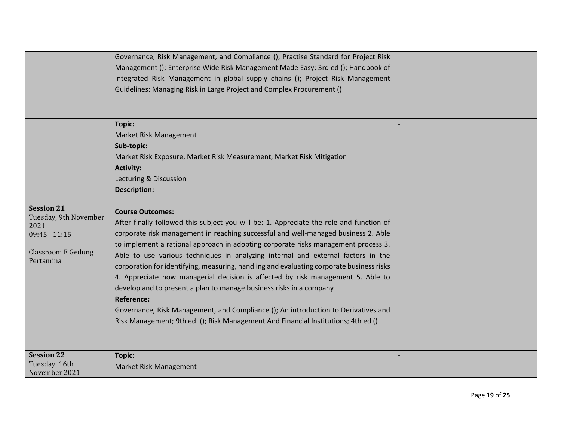|                                                                                                                 | Governance, Risk Management, and Compliance (); Practise Standard for Project Risk<br>Management (); Enterprise Wide Risk Management Made Easy; 3rd ed (); Handbook of<br>Integrated Risk Management in global supply chains (); Project Risk Management<br>Guidelines: Managing Risk in Large Project and Complex Procurement ()                                                                                                                                                                                                                                                                                                                                                                                                                                                                                                                                                                                                                                                                                                                |  |
|-----------------------------------------------------------------------------------------------------------------|--------------------------------------------------------------------------------------------------------------------------------------------------------------------------------------------------------------------------------------------------------------------------------------------------------------------------------------------------------------------------------------------------------------------------------------------------------------------------------------------------------------------------------------------------------------------------------------------------------------------------------------------------------------------------------------------------------------------------------------------------------------------------------------------------------------------------------------------------------------------------------------------------------------------------------------------------------------------------------------------------------------------------------------------------|--|
| <b>Session 21</b><br>Tuesday, 9th November<br>2021<br>$09:45 - 11:15$<br><b>Classroom F Gedung</b><br>Pertamina | <b>Topic:</b><br>Market Risk Management<br>Sub-topic:<br>Market Risk Exposure, Market Risk Measurement, Market Risk Mitigation<br><b>Activity:</b><br>Lecturing & Discussion<br><b>Description:</b><br><b>Course Outcomes:</b><br>After finally followed this subject you will be: 1. Appreciate the role and function of<br>corporate risk management in reaching successful and well-managed business 2. Able<br>to implement a rational approach in adopting corporate risks management process 3.<br>Able to use various techniques in analyzing internal and external factors in the<br>corporation for identifying, measuring, handling and evaluating corporate business risks<br>4. Appreciate how managerial decision is affected by risk management 5. Able to<br>develop and to present a plan to manage business risks in a company<br><b>Reference:</b><br>Governance, Risk Management, and Compliance (); An introduction to Derivatives and<br>Risk Management; 9th ed. (); Risk Management And Financial Institutions; 4th ed () |  |
| <b>Session 22</b><br>Tuesday, 16th<br>November 2021                                                             | <b>Topic:</b><br>Market Risk Management                                                                                                                                                                                                                                                                                                                                                                                                                                                                                                                                                                                                                                                                                                                                                                                                                                                                                                                                                                                                          |  |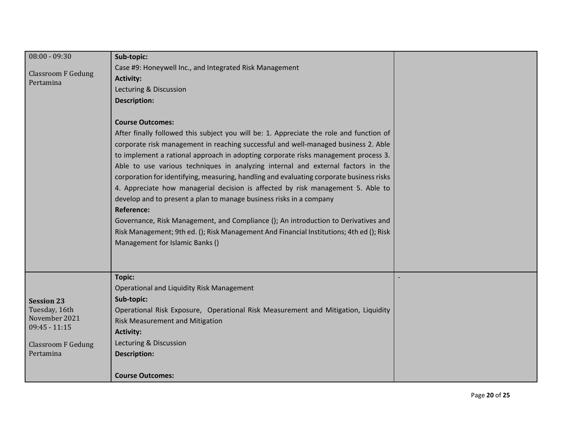| $08:00 - 09:30$                        | Sub-topic:                                                                               |  |
|----------------------------------------|------------------------------------------------------------------------------------------|--|
|                                        | Case #9: Honeywell Inc., and Integrated Risk Management                                  |  |
| <b>Classroom F Gedung</b><br>Pertamina | <b>Activity:</b>                                                                         |  |
|                                        | Lecturing & Discussion                                                                   |  |
|                                        | <b>Description:</b>                                                                      |  |
|                                        |                                                                                          |  |
|                                        | <b>Course Outcomes:</b>                                                                  |  |
|                                        | After finally followed this subject you will be: 1. Appreciate the role and function of  |  |
|                                        | corporate risk management in reaching successful and well-managed business 2. Able       |  |
|                                        | to implement a rational approach in adopting corporate risks management process 3.       |  |
|                                        | Able to use various techniques in analyzing internal and external factors in the         |  |
|                                        | corporation for identifying, measuring, handling and evaluating corporate business risks |  |
|                                        | 4. Appreciate how managerial decision is affected by risk management 5. Able to          |  |
|                                        | develop and to present a plan to manage business risks in a company                      |  |
|                                        | <b>Reference:</b>                                                                        |  |
|                                        | Governance, Risk Management, and Compliance (); An introduction to Derivatives and       |  |
|                                        | Risk Management; 9th ed. (); Risk Management And Financial Institutions; 4th ed (); Risk |  |
|                                        | Management for Islamic Banks ()                                                          |  |
|                                        |                                                                                          |  |
|                                        |                                                                                          |  |
|                                        | <b>Topic:</b>                                                                            |  |
|                                        | Operational and Liquidity Risk Management                                                |  |
| <b>Session 23</b>                      | Sub-topic:                                                                               |  |
| Tuesday, 16th                          | Operational Risk Exposure, Operational Risk Measurement and Mitigation, Liquidity        |  |
| November 2021<br>$09:45 - 11:15$       | <b>Risk Measurement and Mitigation</b>                                                   |  |
|                                        | <b>Activity:</b>                                                                         |  |
| <b>Classroom F Gedung</b>              | Lecturing & Discussion                                                                   |  |
| Pertamina                              | <b>Description:</b>                                                                      |  |
|                                        |                                                                                          |  |
|                                        | <b>Course Outcomes:</b>                                                                  |  |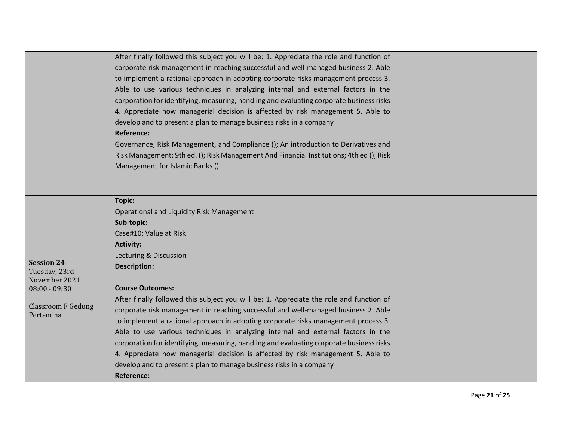| After finally followed this subject you will be: 1. Appreciate the role and function of<br>corporate risk management in reaching successful and well-managed business 2. Able<br>to implement a rational approach in adopting corporate risks management process 3.<br>Able to use various techniques in analyzing internal and external factors in the<br>corporation for identifying, measuring, handling and evaluating corporate business risks<br>4. Appreciate how managerial decision is affected by risk management 5. Able to<br>develop and to present a plan to manage business risks in a company<br><b>Reference:</b><br>Governance, Risk Management, and Compliance (); An introduction to Derivatives and<br>Risk Management; 9th ed. (); Risk Management And Financial Institutions; 4th ed (); Risk<br>Management for Islamic Banks ()<br><b>Topic:</b><br>Operational and Liquidity Risk Management<br>Sub-topic:<br>Case#10: Value at Risk<br><b>Activity:</b><br>Lecturing & Discussion<br><b>Session 24</b><br><b>Description:</b><br>Tuesday, 23rd<br>November 2021<br><b>Course Outcomes:</b><br>$08:00 - 09:30$<br>After finally followed this subject you will be: 1. Appreciate the role and function of<br><b>Classroom F Gedung</b><br>corporate risk management in reaching successful and well-managed business 2. Able<br>Pertamina<br>to implement a rational approach in adopting corporate risks management process 3.<br>Able to use various techniques in analyzing internal and external factors in the<br>corporation for identifying, measuring, handling and evaluating corporate business risks<br>4. Appreciate how managerial decision is affected by risk management 5. Able to<br>develop and to present a plan to manage business risks in a company<br><b>Reference:</b> |  |  |
|-------------------------------------------------------------------------------------------------------------------------------------------------------------------------------------------------------------------------------------------------------------------------------------------------------------------------------------------------------------------------------------------------------------------------------------------------------------------------------------------------------------------------------------------------------------------------------------------------------------------------------------------------------------------------------------------------------------------------------------------------------------------------------------------------------------------------------------------------------------------------------------------------------------------------------------------------------------------------------------------------------------------------------------------------------------------------------------------------------------------------------------------------------------------------------------------------------------------------------------------------------------------------------------------------------------------------------------------------------------------------------------------------------------------------------------------------------------------------------------------------------------------------------------------------------------------------------------------------------------------------------------------------------------------------------------------------------------------------------------------------------------------------------------------------------------------------|--|--|
|                                                                                                                                                                                                                                                                                                                                                                                                                                                                                                                                                                                                                                                                                                                                                                                                                                                                                                                                                                                                                                                                                                                                                                                                                                                                                                                                                                                                                                                                                                                                                                                                                                                                                                                                                                                                                         |  |  |
|                                                                                                                                                                                                                                                                                                                                                                                                                                                                                                                                                                                                                                                                                                                                                                                                                                                                                                                                                                                                                                                                                                                                                                                                                                                                                                                                                                                                                                                                                                                                                                                                                                                                                                                                                                                                                         |  |  |
|                                                                                                                                                                                                                                                                                                                                                                                                                                                                                                                                                                                                                                                                                                                                                                                                                                                                                                                                                                                                                                                                                                                                                                                                                                                                                                                                                                                                                                                                                                                                                                                                                                                                                                                                                                                                                         |  |  |
|                                                                                                                                                                                                                                                                                                                                                                                                                                                                                                                                                                                                                                                                                                                                                                                                                                                                                                                                                                                                                                                                                                                                                                                                                                                                                                                                                                                                                                                                                                                                                                                                                                                                                                                                                                                                                         |  |  |
|                                                                                                                                                                                                                                                                                                                                                                                                                                                                                                                                                                                                                                                                                                                                                                                                                                                                                                                                                                                                                                                                                                                                                                                                                                                                                                                                                                                                                                                                                                                                                                                                                                                                                                                                                                                                                         |  |  |
|                                                                                                                                                                                                                                                                                                                                                                                                                                                                                                                                                                                                                                                                                                                                                                                                                                                                                                                                                                                                                                                                                                                                                                                                                                                                                                                                                                                                                                                                                                                                                                                                                                                                                                                                                                                                                         |  |  |
|                                                                                                                                                                                                                                                                                                                                                                                                                                                                                                                                                                                                                                                                                                                                                                                                                                                                                                                                                                                                                                                                                                                                                                                                                                                                                                                                                                                                                                                                                                                                                                                                                                                                                                                                                                                                                         |  |  |
|                                                                                                                                                                                                                                                                                                                                                                                                                                                                                                                                                                                                                                                                                                                                                                                                                                                                                                                                                                                                                                                                                                                                                                                                                                                                                                                                                                                                                                                                                                                                                                                                                                                                                                                                                                                                                         |  |  |
|                                                                                                                                                                                                                                                                                                                                                                                                                                                                                                                                                                                                                                                                                                                                                                                                                                                                                                                                                                                                                                                                                                                                                                                                                                                                                                                                                                                                                                                                                                                                                                                                                                                                                                                                                                                                                         |  |  |
|                                                                                                                                                                                                                                                                                                                                                                                                                                                                                                                                                                                                                                                                                                                                                                                                                                                                                                                                                                                                                                                                                                                                                                                                                                                                                                                                                                                                                                                                                                                                                                                                                                                                                                                                                                                                                         |  |  |
|                                                                                                                                                                                                                                                                                                                                                                                                                                                                                                                                                                                                                                                                                                                                                                                                                                                                                                                                                                                                                                                                                                                                                                                                                                                                                                                                                                                                                                                                                                                                                                                                                                                                                                                                                                                                                         |  |  |
|                                                                                                                                                                                                                                                                                                                                                                                                                                                                                                                                                                                                                                                                                                                                                                                                                                                                                                                                                                                                                                                                                                                                                                                                                                                                                                                                                                                                                                                                                                                                                                                                                                                                                                                                                                                                                         |  |  |
|                                                                                                                                                                                                                                                                                                                                                                                                                                                                                                                                                                                                                                                                                                                                                                                                                                                                                                                                                                                                                                                                                                                                                                                                                                                                                                                                                                                                                                                                                                                                                                                                                                                                                                                                                                                                                         |  |  |
|                                                                                                                                                                                                                                                                                                                                                                                                                                                                                                                                                                                                                                                                                                                                                                                                                                                                                                                                                                                                                                                                                                                                                                                                                                                                                                                                                                                                                                                                                                                                                                                                                                                                                                                                                                                                                         |  |  |
|                                                                                                                                                                                                                                                                                                                                                                                                                                                                                                                                                                                                                                                                                                                                                                                                                                                                                                                                                                                                                                                                                                                                                                                                                                                                                                                                                                                                                                                                                                                                                                                                                                                                                                                                                                                                                         |  |  |
|                                                                                                                                                                                                                                                                                                                                                                                                                                                                                                                                                                                                                                                                                                                                                                                                                                                                                                                                                                                                                                                                                                                                                                                                                                                                                                                                                                                                                                                                                                                                                                                                                                                                                                                                                                                                                         |  |  |
|                                                                                                                                                                                                                                                                                                                                                                                                                                                                                                                                                                                                                                                                                                                                                                                                                                                                                                                                                                                                                                                                                                                                                                                                                                                                                                                                                                                                                                                                                                                                                                                                                                                                                                                                                                                                                         |  |  |
|                                                                                                                                                                                                                                                                                                                                                                                                                                                                                                                                                                                                                                                                                                                                                                                                                                                                                                                                                                                                                                                                                                                                                                                                                                                                                                                                                                                                                                                                                                                                                                                                                                                                                                                                                                                                                         |  |  |
|                                                                                                                                                                                                                                                                                                                                                                                                                                                                                                                                                                                                                                                                                                                                                                                                                                                                                                                                                                                                                                                                                                                                                                                                                                                                                                                                                                                                                                                                                                                                                                                                                                                                                                                                                                                                                         |  |  |
|                                                                                                                                                                                                                                                                                                                                                                                                                                                                                                                                                                                                                                                                                                                                                                                                                                                                                                                                                                                                                                                                                                                                                                                                                                                                                                                                                                                                                                                                                                                                                                                                                                                                                                                                                                                                                         |  |  |
|                                                                                                                                                                                                                                                                                                                                                                                                                                                                                                                                                                                                                                                                                                                                                                                                                                                                                                                                                                                                                                                                                                                                                                                                                                                                                                                                                                                                                                                                                                                                                                                                                                                                                                                                                                                                                         |  |  |
|                                                                                                                                                                                                                                                                                                                                                                                                                                                                                                                                                                                                                                                                                                                                                                                                                                                                                                                                                                                                                                                                                                                                                                                                                                                                                                                                                                                                                                                                                                                                                                                                                                                                                                                                                                                                                         |  |  |
|                                                                                                                                                                                                                                                                                                                                                                                                                                                                                                                                                                                                                                                                                                                                                                                                                                                                                                                                                                                                                                                                                                                                                                                                                                                                                                                                                                                                                                                                                                                                                                                                                                                                                                                                                                                                                         |  |  |
|                                                                                                                                                                                                                                                                                                                                                                                                                                                                                                                                                                                                                                                                                                                                                                                                                                                                                                                                                                                                                                                                                                                                                                                                                                                                                                                                                                                                                                                                                                                                                                                                                                                                                                                                                                                                                         |  |  |
|                                                                                                                                                                                                                                                                                                                                                                                                                                                                                                                                                                                                                                                                                                                                                                                                                                                                                                                                                                                                                                                                                                                                                                                                                                                                                                                                                                                                                                                                                                                                                                                                                                                                                                                                                                                                                         |  |  |
|                                                                                                                                                                                                                                                                                                                                                                                                                                                                                                                                                                                                                                                                                                                                                                                                                                                                                                                                                                                                                                                                                                                                                                                                                                                                                                                                                                                                                                                                                                                                                                                                                                                                                                                                                                                                                         |  |  |
|                                                                                                                                                                                                                                                                                                                                                                                                                                                                                                                                                                                                                                                                                                                                                                                                                                                                                                                                                                                                                                                                                                                                                                                                                                                                                                                                                                                                                                                                                                                                                                                                                                                                                                                                                                                                                         |  |  |
|                                                                                                                                                                                                                                                                                                                                                                                                                                                                                                                                                                                                                                                                                                                                                                                                                                                                                                                                                                                                                                                                                                                                                                                                                                                                                                                                                                                                                                                                                                                                                                                                                                                                                                                                                                                                                         |  |  |
|                                                                                                                                                                                                                                                                                                                                                                                                                                                                                                                                                                                                                                                                                                                                                                                                                                                                                                                                                                                                                                                                                                                                                                                                                                                                                                                                                                                                                                                                                                                                                                                                                                                                                                                                                                                                                         |  |  |
|                                                                                                                                                                                                                                                                                                                                                                                                                                                                                                                                                                                                                                                                                                                                                                                                                                                                                                                                                                                                                                                                                                                                                                                                                                                                                                                                                                                                                                                                                                                                                                                                                                                                                                                                                                                                                         |  |  |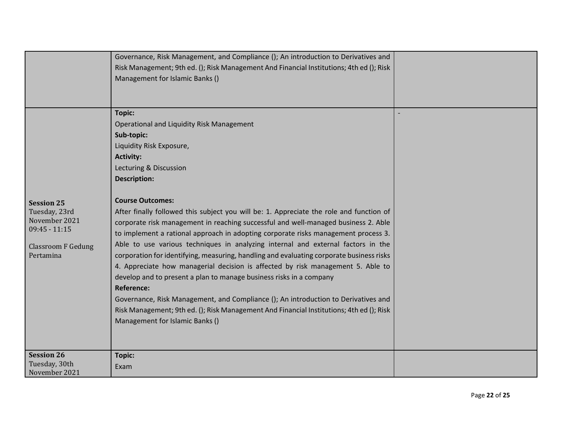|                                                                                                                  | Governance, Risk Management, and Compliance (); An introduction to Derivatives and<br>Risk Management; 9th ed. (); Risk Management And Financial Institutions; 4th ed (); Risk<br>Management for Islamic Banks ()                                                                                                                                                                                                                                                                                                                                                                                                                                                                                                                                                                                                                                                                                                                                                                                                                                               |  |
|------------------------------------------------------------------------------------------------------------------|-----------------------------------------------------------------------------------------------------------------------------------------------------------------------------------------------------------------------------------------------------------------------------------------------------------------------------------------------------------------------------------------------------------------------------------------------------------------------------------------------------------------------------------------------------------------------------------------------------------------------------------------------------------------------------------------------------------------------------------------------------------------------------------------------------------------------------------------------------------------------------------------------------------------------------------------------------------------------------------------------------------------------------------------------------------------|--|
| <b>Session 25</b><br>Tuesday, 23rd<br>November 2021<br>$09:45 - 11:15$<br><b>Classroom F Gedung</b><br>Pertamina | <b>Topic:</b><br>Operational and Liquidity Risk Management<br>Sub-topic:<br>Liquidity Risk Exposure,<br><b>Activity:</b><br>Lecturing & Discussion<br><b>Description:</b><br><b>Course Outcomes:</b><br>After finally followed this subject you will be: 1. Appreciate the role and function of<br>corporate risk management in reaching successful and well-managed business 2. Able<br>to implement a rational approach in adopting corporate risks management process 3.<br>Able to use various techniques in analyzing internal and external factors in the<br>corporation for identifying, measuring, handling and evaluating corporate business risks<br>4. Appreciate how managerial decision is affected by risk management 5. Able to<br>develop and to present a plan to manage business risks in a company<br><b>Reference:</b><br>Governance, Risk Management, and Compliance (); An introduction to Derivatives and<br>Risk Management; 9th ed. (); Risk Management And Financial Institutions; 4th ed (); Risk<br>Management for Islamic Banks () |  |
| <b>Session 26</b><br>Tuesday, 30th<br>November 2021                                                              | <b>Topic:</b><br>Exam                                                                                                                                                                                                                                                                                                                                                                                                                                                                                                                                                                                                                                                                                                                                                                                                                                                                                                                                                                                                                                           |  |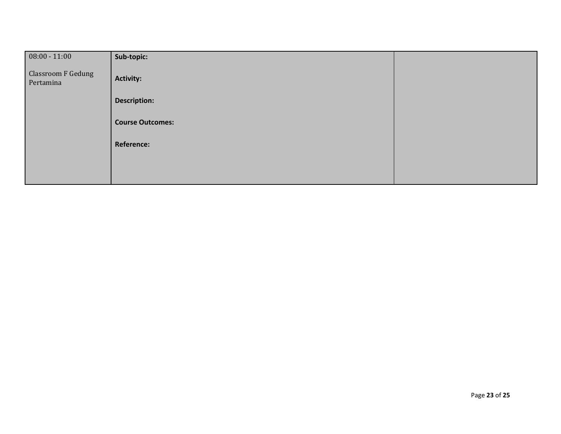| $08:00 - 11:00$                        | Sub-topic:              |  |
|----------------------------------------|-------------------------|--|
| <b>Classroom F Gedung</b><br>Pertamina | <b>Activity:</b>        |  |
|                                        | <b>Description:</b>     |  |
|                                        | <b>Course Outcomes:</b> |  |
|                                        | <b>Reference:</b>       |  |
|                                        |                         |  |
|                                        |                         |  |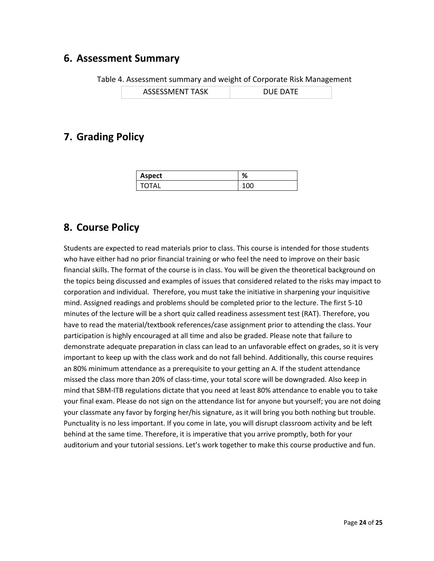#### **6. Assessment Summary**

Table 4. Assessment summary and weight of Corporate Risk Management

#### **7. Grading Policy**

| Aspect | % |
|--------|---|
| TOTAL  |   |

#### **8. Course Policy**

Students are expected to read materials prior to class. This course is intended for those students who have either had no prior financial training or who feel the need to improve on their basic financial skills. The format of the course is in class. You will be given the theoretical background on the topics being discussed and examples of issues that considered related to the risks may impact to corporation and individual. Therefore, you must take the initiative in sharpening your inquisitive mind. Assigned readings and problems should be completed prior to the lecture. The first 5‐10 minutes of the lecture will be a short quiz called readiness assessment test (RAT). Therefore, you have to read the material/textbook references/case assignment prior to attending the class. Your participation is highly encouraged at all time and also be graded. Please note that failure to demonstrate adequate preparation in class can lead to an unfavorable effect on grades, so it is very important to keep up with the class work and do not fall behind. Additionally, this course requires an 80% minimum attendance as a prerequisite to your getting an A. If the student attendance missed the class more than 20% of class‐time, your total score will be downgraded. Also keep in mind that SBM‐ITB regulations dictate that you need at least 80% attendance to enable you to take your final exam. Please do not sign on the attendance list for anyone but yourself; you are not doing your classmate any favor by forging her/his signature, as it will bring you both nothing but trouble. Punctuality is no less important. If you come in late, you will disrupt classroom activity and be left behind at the same time. Therefore, it is imperative that you arrive promptly, both for your auditorium and your tutorial sessions. Let's work together to make this course productive and fun.